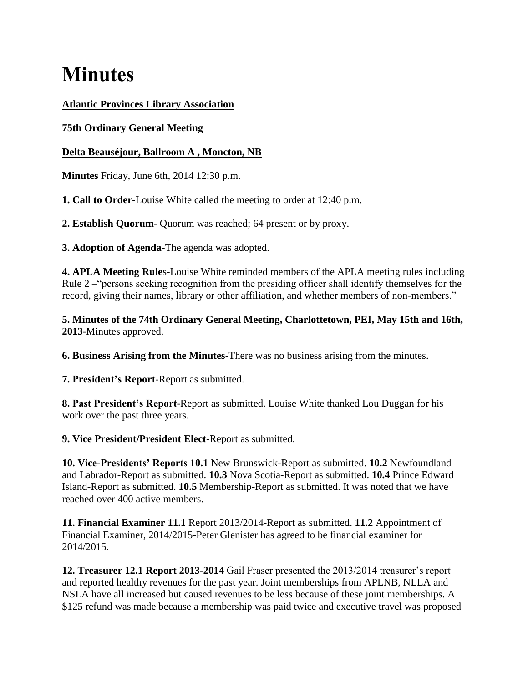# **Minutes**

## **Atlantic Provinces Library Association**

# **75th Ordinary General Meeting**

# **Delta Beauséjour, Ballroom A , Moncton, NB**

**Minutes** Friday, June 6th, 2014 12:30 p.m.

**1. Call to Order**-Louise White called the meeting to order at 12:40 p.m.

**2. Establish Quorum**- Quorum was reached; 64 present or by proxy.

**3. Adoption of Agenda-**The agenda was adopted.

**4. APLA Meeting Rule**s-Louise White reminded members of the APLA meeting rules including Rule 2 –"persons seeking recognition from the presiding officer shall identify themselves for the record, giving their names, library or other affiliation, and whether members of non-members."

**5. Minutes of the 74th Ordinary General Meeting, Charlottetown, PEI, May 15th and 16th, 2013**-Minutes approved.

**6. Business Arising from the Minutes**-There was no business arising from the minutes.

**7. President's Report**-Report as submitted.

**8. Past President's Report**-Report as submitted. Louise White thanked Lou Duggan for his work over the past three years.

**9. Vice President/President Elect**-Report as submitted.

**10. Vice-Presidents' Reports 10.1** New Brunswick-Report as submitted. **10.2** Newfoundland and Labrador-Report as submitted. **10.3** Nova Scotia-Report as submitted. **10.4** Prince Edward Island-Report as submitted. **10.5** Membership-Report as submitted. It was noted that we have reached over 400 active members.

**11. Financial Examiner 11.1** Report 2013/2014-Report as submitted. **11.2** Appointment of Financial Examiner, 2014/2015-Peter Glenister has agreed to be financial examiner for 2014/2015.

**12. Treasurer 12.1 Report 2013-2014** Gail Fraser presented the 2013/2014 treasurer's report and reported healthy revenues for the past year. Joint memberships from APLNB, NLLA and NSLA have all increased but caused revenues to be less because of these joint memberships. A \$125 refund was made because a membership was paid twice and executive travel was proposed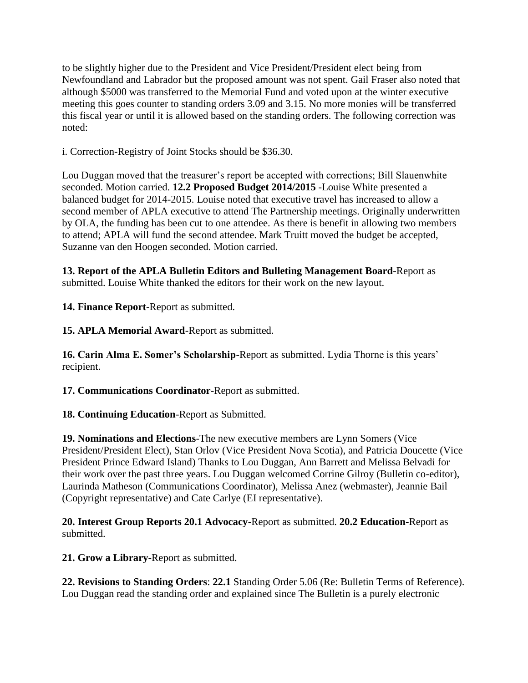to be slightly higher due to the President and Vice President/President elect being from Newfoundland and Labrador but the proposed amount was not spent. Gail Fraser also noted that although \$5000 was transferred to the Memorial Fund and voted upon at the winter executive meeting this goes counter to standing orders 3.09 and 3.15. No more monies will be transferred this fiscal year or until it is allowed based on the standing orders. The following correction was noted:

i. Correction-Registry of Joint Stocks should be \$36.30.

Lou Duggan moved that the treasurer's report be accepted with corrections; Bill Slauenwhite seconded. Motion carried. **12.2 Proposed Budget 2014/2015** -Louise White presented a balanced budget for 2014-2015. Louise noted that executive travel has increased to allow a second member of APLA executive to attend The Partnership meetings. Originally underwritten by OLA, the funding has been cut to one attendee. As there is benefit in allowing two members to attend; APLA will fund the second attendee. Mark Truitt moved the budget be accepted, Suzanne van den Hoogen seconded. Motion carried.

**13. Report of the APLA Bulletin Editors and Bulleting Management Board**-Report as submitted. Louise White thanked the editors for their work on the new layout.

**14. Finance Report**-Report as submitted.

**15. APLA Memorial Award**-Report as submitted.

**16. Carin Alma E. Somer's Scholarship**-Report as submitted. Lydia Thorne is this years' recipient.

**17. Communications Coordinator**-Report as submitted.

**18. Continuing Education**-Report as Submitted.

**19. Nominations and Elections**-The new executive members are Lynn Somers (Vice President/President Elect), Stan Orlov (Vice President Nova Scotia), and Patricia Doucette (Vice President Prince Edward Island) Thanks to Lou Duggan, Ann Barrett and Melissa Belvadi for their work over the past three years. Lou Duggan welcomed Corrine Gilroy (Bulletin co-editor), Laurinda Matheson (Communications Coordinator), Melissa Anez (webmaster), Jeannie Bail (Copyright representative) and Cate Carlye (EI representative).

**20. Interest Group Reports 20.1 Advocacy**-Report as submitted. **20.2 Education**-Report as submitted.

**21. Grow a Library**-Report as submitted.

**22. Revisions to Standing Orders**: **22.1** Standing Order 5.06 (Re: Bulletin Terms of Reference). Lou Duggan read the standing order and explained since The Bulletin is a purely electronic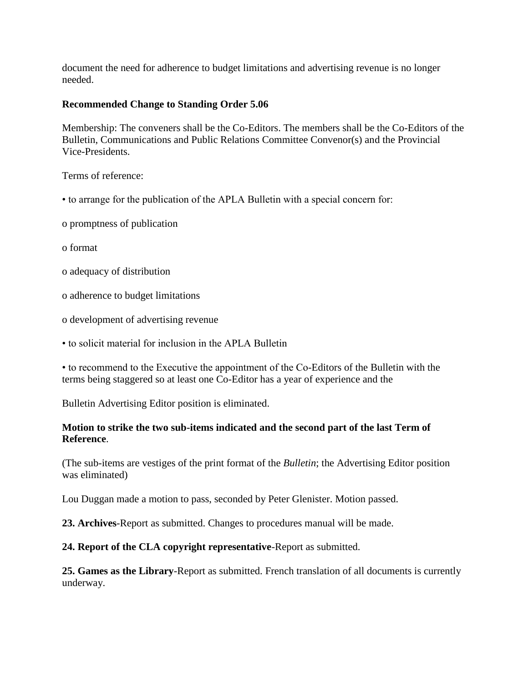document the need for adherence to budget limitations and advertising revenue is no longer needed.

#### **Recommended Change to Standing Order 5.06**

Membership: The conveners shall be the Co-Editors. The members shall be the Co-Editors of the Bulletin, Communications and Public Relations Committee Convenor(s) and the Provincial Vice-Presidents.

Terms of reference:

- to arrange for the publication of the APLA Bulletin with a special concern for:
- o promptness of publication
- o format
- o adequacy of distribution
- o adherence to budget limitations
- o development of advertising revenue
- to solicit material for inclusion in the APLA Bulletin

• to recommend to the Executive the appointment of the Co-Editors of the Bulletin with the terms being staggered so at least one Co-Editor has a year of experience and the

Bulletin Advertising Editor position is eliminated.

#### **Motion to strike the two sub-items indicated and the second part of the last Term of Reference**.

(The sub-items are vestiges of the print format of the *Bulletin*; the Advertising Editor position was eliminated)

Lou Duggan made a motion to pass, seconded by Peter Glenister. Motion passed.

**23. Archives**-Report as submitted. Changes to procedures manual will be made.

#### **24. Report of the CLA copyright representative**-Report as submitted.

**25. Games as the Library**-Report as submitted. French translation of all documents is currently underway.